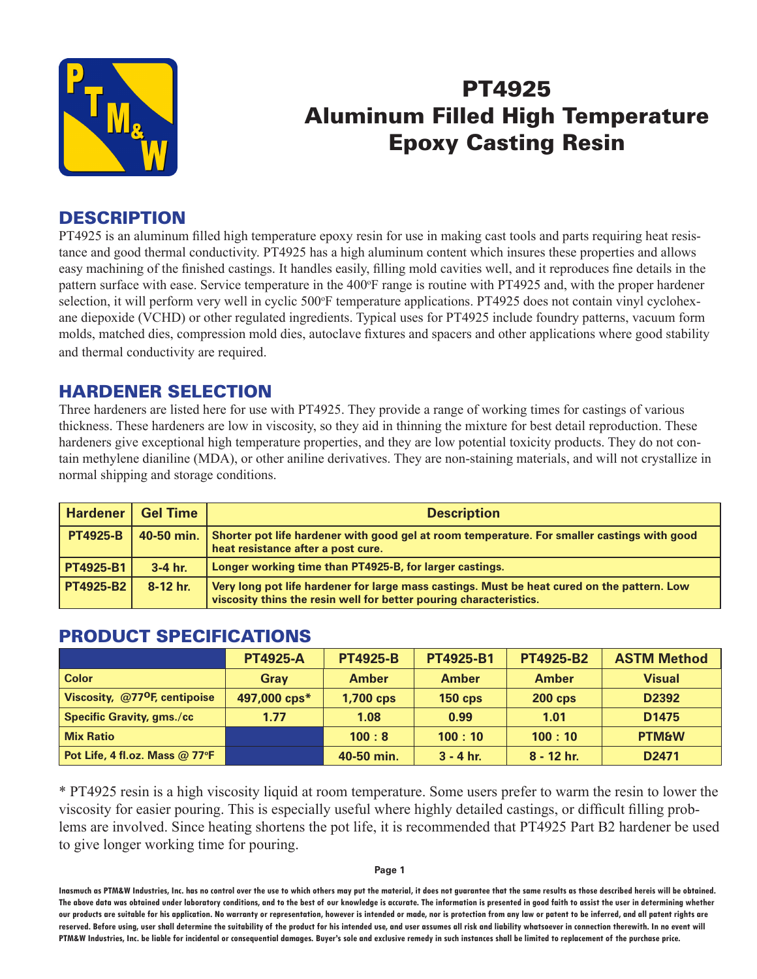

## PT4925 Aluminum Filled High Temperature Epoxy Casting Resin

#### **DESCRIPTION**

PT4925 is an aluminum filled high temperature epoxy resin for use in making cast tools and parts requiring heat resistance and good thermal conductivity. PT4925 has a high aluminum content which insures these properties and allows easy machining of the finished castings. It handles easily, filling mold cavities well, and it reproduces fine details in the pattern surface with ease. Service temperature in the 400°F range is routine with PT4925 and, with the proper hardener selection, it will perform very well in cyclic 500°F temperature applications. PT4925 does not contain vinyl cyclohexane diepoxide (VCHD) or other regulated ingredients. Typical uses for PT4925 include foundry patterns, vacuum form molds, matched dies, compression mold dies, autoclave fixtures and spacers and other applications where good stability and thermal conductivity are required.

#### HARDENER SELECTION

Three hardeners are listed here for use with PT4925. They provide a range of working times for castings of various thickness. These hardeners are low in viscosity, so they aid in thinning the mixture for best detail reproduction. These hardeners give exceptional high temperature properties, and they are low potential toxicity products. They do not contain methylene dianiline (MDA), or other aniline derivatives. They are non-staining materials, and will not crystallize in normal shipping and storage conditions.

| Hardener         | <b>Gel Time</b> | <b>Description</b>                                                                                                                                                |
|------------------|-----------------|-------------------------------------------------------------------------------------------------------------------------------------------------------------------|
| <b>PT4925-B</b>  | 40-50 min.      | Shorter pot life hardener with good gel at room temperature. For smaller castings with good<br>heat resistance after a post cure.                                 |
| PT4925-B1        | $3-4$ hr.       | Longer working time than PT4925-B, for larger castings.                                                                                                           |
| <b>PT4925-B2</b> | $8-12$ hr.      | Very long pot life hardener for large mass castings. Must be heat cured on the pattern. Low<br>viscosity thins the resin well for better pouring characteristics. |

#### PRODUCT SPECIFICATIONS

|                                           | <b>PT4925-A</b> | <b>PT4925-B</b>  | <b>PT4925-B1</b> | <b>PT4925-B2</b> | <b>ASTM Method</b> |
|-------------------------------------------|-----------------|------------------|------------------|------------------|--------------------|
| <b>Color</b>                              | <b>Gray</b>     | <b>Amber</b>     | <b>Amber</b>     | <b>Amber</b>     | <b>Visual</b>      |
| Viscosity, @77 <sup>o</sup> F, centipoise | 497,000 cps*    | <b>1,700 cps</b> | $150$ cps        | $200$ cps        | D <sub>2392</sub>  |
| <b>Specific Gravity, gms./cc</b>          | 1.77            | 1.08             | 0.99             | 1.01             | D <sub>1475</sub>  |
| <b>Mix Ratio</b>                          |                 | 100:8            | 100:10           | 100:10           | <b>PTM&amp;W</b>   |
| Pot Life, 4 fl.oz. Mass @ 77°F            |                 | 40-50 min.       | $3 - 4$ hr.      | $8 - 12$ hr.     | D <sub>2471</sub>  |

\* PT4925 resin is a high viscosity liquid at room temperature. Some users prefer to warm the resin to lower the viscosity for easier pouring. This is especially useful where highly detailed castings, or difficult filling problems are involved. Since heating shortens the pot life, it is recommended that PT4925 Part B2 hardener be used to give longer working time for pouring.

#### **Page 1**

**Inasmuch as PTM&W Industries, Inc. has no control over the use to which others may put the material, it does not guarantee that the same results as those described hereis will be obtained. The above data was obtained under laboratory conditions, and to the best of our knowledge is accurate. The information is presented in good faith to assist the user in determining whether our products are suitable for his application. No warranty or representation, however is intended or made, nor is protection from any law or patent to be inferred, and all patent rights are**  reserved. Before using, user shall determine the suitability of the product for his intended use, and user assumes all risk and liability whatsoever in connection therewith. In no event will **PTM&W Industries, Inc. be liable for incidental or consequential damages. Buyer's sole and exclusive remedy in such instances shall be limited to replacement of the purchase price.**